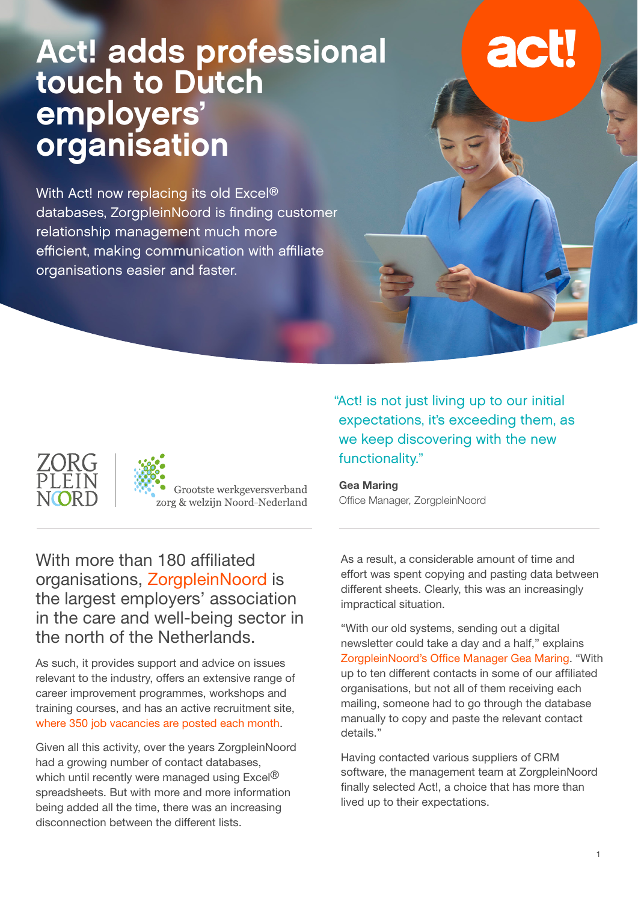# Act! adds professional touch to Dutch employers' organisation

With Act! now replacing its old Excel® databases, ZorgpleinNoord is finding customer relationship management much more efficient, making communication with affiliate organisations easier and faster.





Grootste werkgeversverband zorg & welzijn Noord-Nederland "Act! is not just living up to our initial expectations, it's exceeding them, as we keep discovering with the new functionality."

**Gea Maring** Office Manager, ZorgpleinNoord

With more than 180 affiliated organisations, ZorgpleinNoord is the largest employers' association in the care and well-being sector in the north of the Netherlands.

As such, it provides support and advice on issues relevant to the industry, offers an extensive range of career improvement programmes, workshops and training courses, and has an active recruitment site, where 350 job vacancies are posted each month.

Given all this activity, over the years ZorgpleinNoord had a growing number of contact databases, which until recently were managed using Excel<sup>®</sup> spreadsheets. But with more and more information being added all the time, there was an increasing disconnection between the different lists.

As a result, a considerable amount of time and effort was spent copying and pasting data between different sheets. Clearly, this was an increasingly impractical situation.

"With our old systems, sending out a digital newsletter could take a day and a half," explains ZorgpleinNoord's Office Manager Gea Maring. "With up to ten different contacts in some of our affiliated organisations, but not all of them receiving each mailing, someone had to go through the database manually to copy and paste the relevant contact details."

Having contacted various suppliers of CRM software, the management team at ZorgpleinNoord finally selected Act!, a choice that has more than lived up to their expectations.